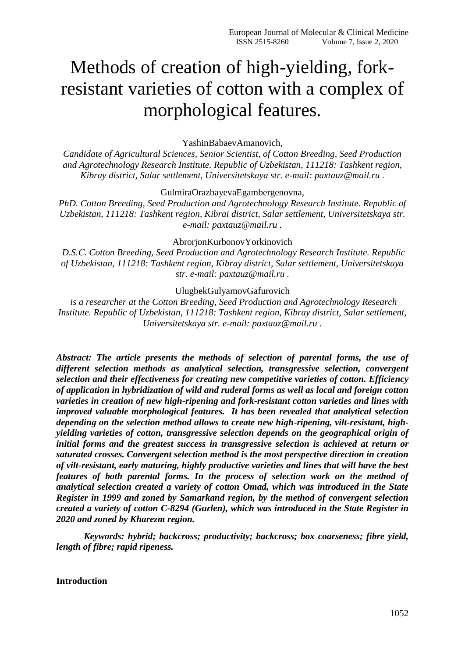# Methods of creation of high-yielding, forkresistant varieties of cotton with a complex of morphological features.

YashinBabaevAmanovich,

*Candidate of Agricultural Sciences, Senior Scientist, of Cotton Breeding, Seed Production and Agrotechnology Research Institute. Republic of Uzbekistan, 111218: Tashkent region, Kibray district, Salar settlement, Universitetskaya str. e-mail: paxtauz@mail.ru .*

GulmiraOrazbayevaEgambergenovna,

*PhD. Cotton Breeding, Seed Production and Agrotechnology Research Institute. Republic of Uzbekistan, 111218: Tashkent region, Kibrai district, Salar settlement, Universitetskaya str. e-mail: paxtauz@mail.ru .*

AbrorjonKurbonovYorkinovich

*D.S.С. Cotton Breeding, Seed Production and Agrotechnology Research Institute. Republic of Uzbekistan, 111218: Tashkent region, Kibray district, Salar settlement, Universitetskaya str. e-mail: paxtauz@mail.ru .*

UlugbekGulyamovGafurovich

*is a researcher at the Cotton Breeding, Seed Production and Agrotechnology Research Institute. Republic of Uzbekistan, 111218: Tashkent region, Kibray district, Salar settlement, Universitetskaya str. e-mail: paxtauz@mail.ru .*

*Abstract: The article presents the methods of selection of parental forms, the use of different selection methods as analytical selection, transgressive selection, convergent selection and their effectiveness for creating new competitive varieties of cotton. Efficiency of application in hybridization of wild and ruderal forms as well as local and foreign cotton varieties in creation of new high-ripening and fork-resistant cotton varieties and lines with improved valuable morphological features. It has been revealed that analytical selection depending on the selection method allows to create new high-ripening, vilt-resistant, highyielding varieties of cotton, transgressive selection depends on the geographical origin of initial forms and the greatest success in transgressive selection is achieved at return or saturated crosses. Convergent selection method is the most perspective direction in creation of vilt-resistant, early maturing, highly productive varieties and lines that will have the best features of both parental forms. In the process of selection work on the method of analytical selection created a variety of cotton Omad, which was introduced in the State Register in 1999 and zoned by Samarkand region, by the method of convergent selection created a variety of cotton C-8294 (Gurlen), which was introduced in the State Register in 2020 and zoned by Kharezm region.*

*Keywords: hybrid; backcross; productivity; backcross; box coarseness; fibre yield, length of fibre; rapid ripeness.*

### **Introduction**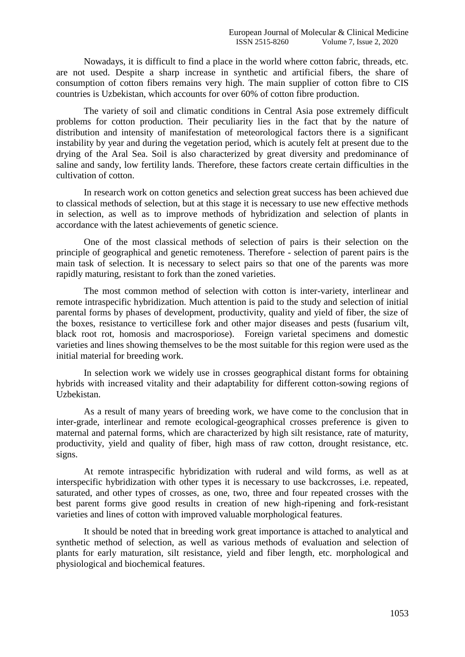Nowadays, it is difficult to find a place in the world where cotton fabric, threads, etc. are not used. Despite a sharp increase in synthetic and artificial fibers, the share of consumption of cotton fibers remains very high. The main supplier of cotton fibre to CIS countries is Uzbekistan, which accounts for over 60% of cotton fibre production.

The variety of soil and climatic conditions in Central Asia pose extremely difficult problems for cotton production. Their peculiarity lies in the fact that by the nature of distribution and intensity of manifestation of meteorological factors there is a significant instability by year and during the vegetation period, which is acutely felt at present due to the drying of the Aral Sea. Soil is also characterized by great diversity and predominance of saline and sandy, low fertility lands. Therefore, these factors create certain difficulties in the cultivation of cotton.

In research work on cotton genetics and selection great success has been achieved due to classical methods of selection, but at this stage it is necessary to use new effective methods in selection, as well as to improve methods of hybridization and selection of plants in accordance with the latest achievements of genetic science.

One of the most classical methods of selection of pairs is their selection on the principle of geographical and genetic remoteness. Therefore - selection of parent pairs is the main task of selection. It is necessary to select pairs so that one of the parents was more rapidly maturing, resistant to fork than the zoned varieties.

The most common method of selection with cotton is inter-variety, interlinear and remote intraspecific hybridization. Much attention is paid to the study and selection of initial parental forms by phases of development, productivity, quality and yield of fiber, the size of the boxes, resistance to verticillese fork and other major diseases and pests (fusarium vilt, black root rot, homosis and macrosporiose). Foreign varietal specimens and domestic varieties and lines showing themselves to be the most suitable for this region were used as the initial material for breeding work.

In selection work we widely use in crosses geographical distant forms for obtaining hybrids with increased vitality and their adaptability for different cotton-sowing regions of Uzbekistan.

As a result of many years of breeding work, we have come to the conclusion that in inter-grade, interlinear and remote ecological-geographical crosses preference is given to maternal and paternal forms, which are characterized by high silt resistance, rate of maturity, productivity, yield and quality of fiber, high mass of raw cotton, drought resistance, etc. signs.

At remote intraspecific hybridization with ruderal and wild forms, as well as at interspecific hybridization with other types it is necessary to use backcrosses, i.e. repeated, saturated, and other types of crosses, as one, two, three and four repeated crosses with the best parent forms give good results in creation of new high-ripening and fork-resistant varieties and lines of cotton with improved valuable morphological features.

It should be noted that in breeding work great importance is attached to analytical and synthetic method of selection, as well as various methods of evaluation and selection of plants for early maturation, silt resistance, yield and fiber length, etc. morphological and physiological and biochemical features.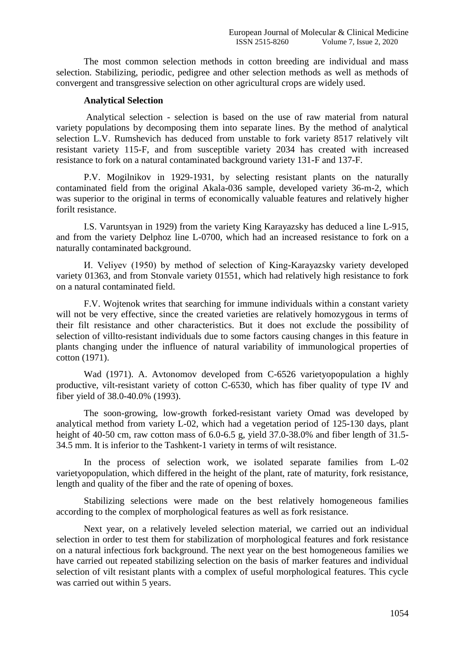The most common selection methods in cotton breeding are individual and mass selection. Stabilizing, periodic, pedigree and other selection methods as well as methods of convergent and transgressive selection on other agricultural crops are widely used.

### **Analytical Selection**

Analytical selection - selection is based on the use of raw material from natural variety populations by decomposing them into separate lines. By the method of analytical selection L.V. Rumshevich has deduced from unstable to fork variety 8517 relatively vilt resistant variety 115-F, and from susceptible variety 2034 has created with increased resistance to fork on a natural contaminated background variety 131-F and 137-F.

P.V. Mogilnikov in 1929-1931, by selecting resistant plants on the naturally contaminated field from the original Akala-036 sample, developed variety 36-m-2, which was superior to the original in terms of economically valuable features and relatively higher forilt resistance.

I.S. Varuntsyan in 1929) from the variety King Karayazsky has deduced a line L-915, and from the variety Delphoz line L-0700, which had an increased resistance to fork on a naturally contaminated background.

И. Veliyev (1950) by method of selection of King-Karayazsky variety developed variety 01363, and from Stonvale variety 01551, which had relatively high resistance to fork on a natural contaminated field.

F.V. Wojtenok writes that searching for immune individuals within a constant variety will not be very effective, since the created varieties are relatively homozygous in terms of their filt resistance and other characteristics. But it does not exclude the possibility of selection of villto-resistant individuals due to some factors causing changes in this feature in plants changing under the influence of natural variability of immunological properties of cotton (1971).

Wad (1971). A. Avtonomov developed from C-6526 varietyopopulation a highly productive, vilt-resistant variety of cotton C-6530, which has fiber quality of type IV and fiber yield of 38.0-40.0% (1993).

The soon-growing, low-growth forked-resistant variety Omad was developed by analytical method from variety L-02, which had a vegetation period of 125-130 days, plant height of 40-50 cm, raw cotton mass of 6.0-6.5 g, yield 37.0-38.0% and fiber length of 31.5-34.5 mm. It is inferior to the Tashkent-1 variety in terms of wilt resistance.

In the process of selection work, we isolated separate families from L-02 varietyopopulation, which differed in the height of the plant, rate of maturity, fork resistance, length and quality of the fiber and the rate of opening of boxes.

Stabilizing selections were made on the best relatively homogeneous families according to the complex of morphological features as well as fork resistance.

Next year, on a relatively leveled selection material, we carried out an individual selection in order to test them for stabilization of morphological features and fork resistance on a natural infectious fork background. The next year on the best homogeneous families we have carried out repeated stabilizing selection on the basis of marker features and individual selection of vilt resistant plants with a complex of useful morphological features. This cycle was carried out within 5 years.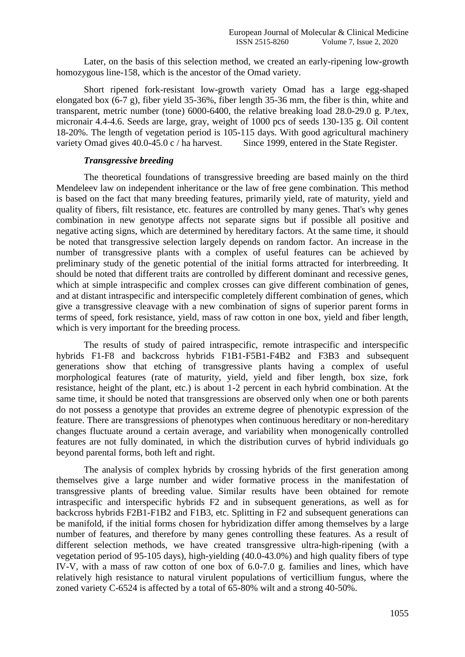Later, on the basis of this selection method, we created an early-ripening low-growth homozygous line-158, which is the ancestor of the Omad variety.

Short ripened fork-resistant low-growth variety Omad has a large egg-shaped elongated box (6-7 g), fiber yield 35-36%, fiber length 35-36 mm, the fiber is thin, white and transparent, metric number (tone) 6000-6400, the relative breaking load 28.0-29.0 g. P./tex, micronair 4.4-4.6. Seeds are large, gray, weight of 1000 pcs of seeds 130-135 g. Oil content 18-20%. The length of vegetation period is 105-115 days. With good agricultural machinery variety Omad gives 40.0-45.0 c / ha harvest. Since 1999, entered in the State Register.

## *Transgressive breeding*

The theoretical foundations of transgressive breeding are based mainly on the third Mendeleev law on independent inheritance or the law of free gene combination. This method is based on the fact that many breeding features, primarily yield, rate of maturity, yield and quality of fibers, filt resistance, etc. features are controlled by many genes. That's why genes combination in new genotype affects not separate signs but if possible all positive and negative acting signs, which are determined by hereditary factors. At the same time, it should be noted that transgressive selection largely depends on random factor. An increase in the number of transgressive plants with a complex of useful features can be achieved by preliminary study of the genetic potential of the initial forms attracted for interbreeding. It should be noted that different traits are controlled by different dominant and recessive genes, which at simple intraspecific and complex crosses can give different combination of genes, and at distant intraspecific and interspecific completely different combination of genes, which give a transgressive cleavage with a new combination of signs of superior parent forms in terms of speed, fork resistance, yield, mass of raw cotton in one box, yield and fiber length, which is very important for the breeding process.

The results of study of paired intraspecific, remote intraspecific and interspecific hybrids F1-F8 and backcross hybrids F1B1-F5B1-F4B2 and F3B3 and subsequent generations show that etching of transgressive plants having a complex of useful morphological features (rate of maturity, yield, yield and fiber length, box size, fork resistance, height of the plant, etc.) is about 1-2 percent in each hybrid combination. At the same time, it should be noted that transgressions are observed only when one or both parents do not possess a genotype that provides an extreme degree of phenotypic expression of the feature. There are transgressions of phenotypes when continuous hereditary or non-hereditary changes fluctuate around a certain average, and variability when monogenically controlled features are not fully dominated, in which the distribution curves of hybrid individuals go beyond parental forms, both left and right.

The analysis of complex hybrids by crossing hybrids of the first generation among themselves give a large number and wider formative process in the manifestation of transgressive plants of breeding value. Similar results have been obtained for remote intraspecific and interspecific hybrids F2 and in subsequent generations, as well as for backcross hybrids F2B1-F1B2 and F1B3, etc. Splitting in F2 and subsequent generations can be manifold, if the initial forms chosen for hybridization differ among themselves by a large number of features, and therefore by many genes controlling these features. As a result of different selection methods, we have created transgressive ultra-high-ripening (with a vegetation period of 95-105 days), high-yielding (40.0-43.0%) and high quality fibers of type IV-V, with a mass of raw cotton of one box of 6.0-7.0 g. families and lines, which have relatively high resistance to natural virulent populations of verticillium fungus, where the zoned variety C-6524 is affected by a total of 65-80% wilt and a strong 40-50%.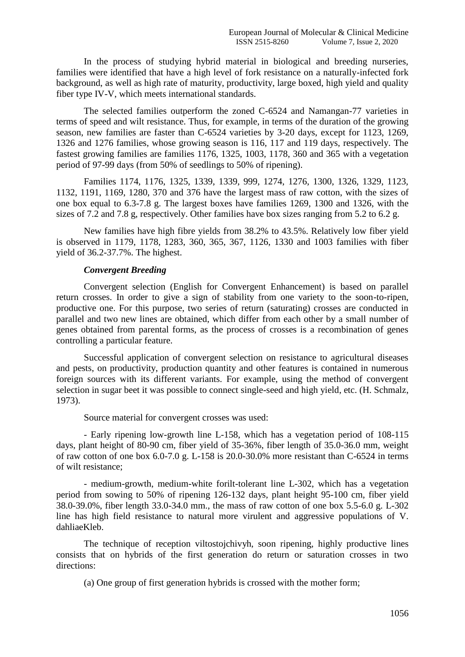In the process of studying hybrid material in biological and breeding nurseries, families were identified that have a high level of fork resistance on a naturally-infected fork background, as well as high rate of maturity, productivity, large boxed, high yield and quality fiber type IV-V, which meets international standards.

The selected families outperform the zoned C-6524 and Namangan-77 varieties in terms of speed and wilt resistance. Thus, for example, in terms of the duration of the growing season, new families are faster than C-6524 varieties by 3-20 days, except for 1123, 1269, 1326 and 1276 families, whose growing season is 116, 117 and 119 days, respectively. The fastest growing families are families 1176, 1325, 1003, 1178, 360 and 365 with a vegetation period of 97-99 days (from 50% of seedlings to 50% of ripening).

Families 1174, 1176, 1325, 1339, 1339, 999, 1274, 1276, 1300, 1326, 1329, 1123, 1132, 1191, 1169, 1280, 370 and 376 have the largest mass of raw cotton, with the sizes of one box equal to 6.3-7.8 g. The largest boxes have families 1269, 1300 and 1326, with the sizes of 7.2 and 7.8 g, respectively. Other families have box sizes ranging from 5.2 to 6.2 g.

New families have high fibre yields from 38.2% to 43.5%. Relatively low fiber yield is observed in 1179, 1178, 1283, 360, 365, 367, 1126, 1330 and 1003 families with fiber yield of 36.2-37.7%. The highest.

# *Convergent Breeding*

Convergent selection (English for Convergent Enhancement) is based on parallel return crosses. In order to give a sign of stability from one variety to the soon-to-ripen, productive one. For this purpose, two series of return (saturating) crosses are conducted in parallel and two new lines are obtained, which differ from each other by a small number of genes obtained from parental forms, as the process of crosses is a recombination of genes controlling a particular feature.

Successful application of convergent selection on resistance to agricultural diseases and pests, on productivity, production quantity and other features is contained in numerous foreign sources with its different variants. For example, using the method of convergent selection in sugar beet it was possible to connect single-seed and high yield, etc. (H. Schmalz, 1973).

Source material for convergent crosses was used:

- Early ripening low-growth line L-158, which has a vegetation period of 108-115 days, plant height of 80-90 cm, fiber yield of 35-36%, fiber length of 35.0-36.0 mm, weight of raw cotton of one box 6.0-7.0 g. L-158 is 20.0-30.0% more resistant than C-6524 in terms of wilt resistance;

- medium-growth, medium-white forilt-tolerant line L-302, which has a vegetation period from sowing to 50% of ripening 126-132 days, plant height 95-100 cm, fiber yield 38.0-39.0%, fiber length 33.0-34.0 mm., the mass of raw cotton of one box 5.5-6.0 g. L-302 line has high field resistance to natural more virulent and aggressive populations of V. dahliaeKleb.

The technique of reception viltostojchivyh, soon ripening, highly productive lines consists that on hybrids of the first generation do return or saturation crosses in two directions:

(a) One group of first generation hybrids is crossed with the mother form;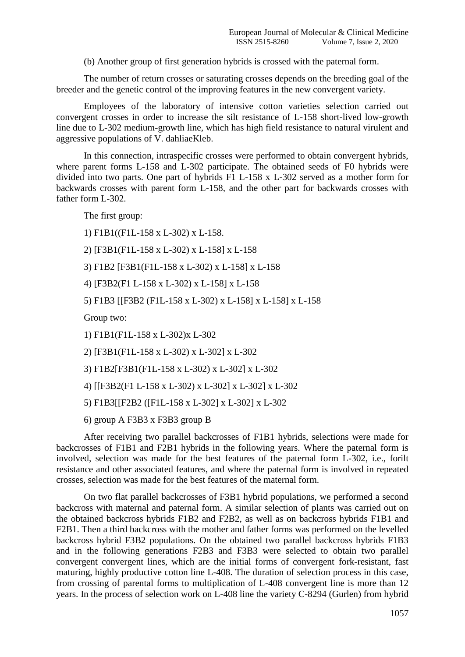(b) Another group of first generation hybrids is crossed with the paternal form.

The number of return crosses or saturating crosses depends on the breeding goal of the breeder and the genetic control of the improving features in the new convergent variety.

Employees of the laboratory of intensive cotton varieties selection carried out convergent crosses in order to increase the silt resistance of L-158 short-lived low-growth line due to L-302 medium-growth line, which has high field resistance to natural virulent and aggressive populations of V. dahliaeKleb.

In this connection, intraspecific crosses were performed to obtain convergent hybrids, where parent forms L-158 and L-302 participate. The obtained seeds of F0 hybrids were divided into two parts. One part of hybrids F1 L-158 x L-302 served as a mother form for backwards crosses with parent form L-158, and the other part for backwards crosses with father form L-302.

The first group:

1) F1B1((F1L-158 x L-302) x L-158.

2) [F3B1(F1L-158 x L-302) x L-158] x L-158

3) F1B2 [F3B1(F1L-158 x L-302) x L-158] x L-158

4) [F3B2(F1 L-158 x L-302) x L-158] x L-158

5) F1B3 [[F3B2 (F1L-158 x L-302) x L-158] x L-158] x L-158

Group two:

1) F1B1(F1L-158 x L-302)x L-302

2) [F3B1(F1L-158 x L-302) x L-302] x L-302

3) F1B2[F3B1(F1L-158 x L-302) x L-302] x L-302

4) [[F3B2(F1 L-158 x L-302) x L-302] x L-302] x L-302

5) F1B3[[F2B2 ([F1L-158 x L-302] x L-302] x L-302

6) group A F3B3 x F3B3 group B

After receiving two parallel backcrosses of F1B1 hybrids, selections were made for backcrosses of F1B1 and F2B1 hybrids in the following years. Where the paternal form is involved, selection was made for the best features of the paternal form L-302, i.e., forilt resistance and other associated features, and where the paternal form is involved in repeated crosses, selection was made for the best features of the maternal form.

On two flat parallel backcrosses of F3B1 hybrid populations, we performed a second backcross with maternal and paternal form. A similar selection of plants was carried out on the obtained backcross hybrids F1B2 and F2B2, as well as on backcross hybrids F1B1 and F2B1. Then a third backcross with the mother and father forms was performed on the levelled backcross hybrid F3B2 populations. On the obtained two parallel backcross hybrids F1B3 and in the following generations F2B3 and F3B3 were selected to obtain two parallel convergent convergent lines, which are the initial forms of convergent fork-resistant, fast maturing, highly productive cotton line L-408. The duration of selection process in this case, from crossing of parental forms to multiplication of L-408 convergent line is more than 12 years. In the process of selection work on L-408 line the variety C-8294 (Gurlen) from hybrid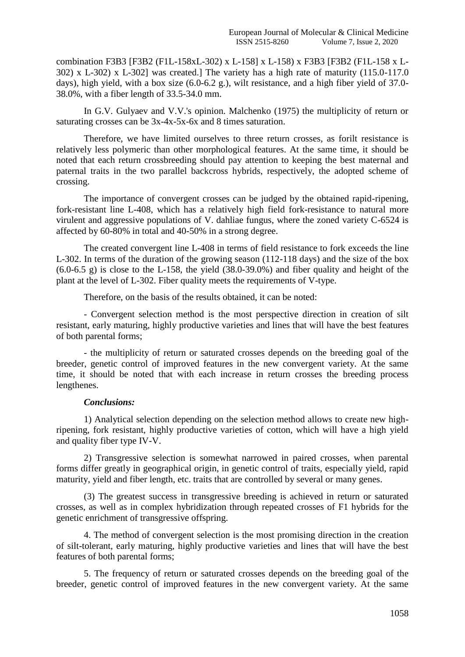combination F3B3 [F3B2 (F1L-158xL-302) x L-158] x L-158) x F3B3 [F3B2 (F1L-158 x L-302) x L-302) x L-302] was created.] The variety has a high rate of maturity (115.0-117.0 days), high yield, with a box size (6.0-6.2 g.), wilt resistance, and a high fiber yield of 37.0- 38.0%, with a fiber length of 33.5-34.0 mm.

In G.V. Gulyaev and V.V.'s opinion. Malchenko (1975) the multiplicity of return or saturating crosses can be 3x-4x-5x-6x and 8 times saturation.

Therefore, we have limited ourselves to three return crosses, as forilt resistance is relatively less polymeric than other morphological features. At the same time, it should be noted that each return crossbreeding should pay attention to keeping the best maternal and paternal traits in the two parallel backcross hybrids, respectively, the adopted scheme of crossing.

The importance of convergent crosses can be judged by the obtained rapid-ripening, fork-resistant line L-408, which has a relatively high field fork-resistance to natural more virulent and aggressive populations of V. dahliae fungus, where the zoned variety C-6524 is affected by 60-80% in total and 40-50% in a strong degree.

The created convergent line L-408 in terms of field resistance to fork exceeds the line L-302. In terms of the duration of the growing season (112-118 days) and the size of the box  $(6.0-6.5 \text{ g})$  is close to the L-158, the yield  $(38.0-39.0\%)$  and fiber quality and height of the plant at the level of L-302. Fiber quality meets the requirements of V-type.

Therefore, on the basis of the results obtained, it can be noted:

- Convergent selection method is the most perspective direction in creation of silt resistant, early maturing, highly productive varieties and lines that will have the best features of both parental forms;

- the multiplicity of return or saturated crosses depends on the breeding goal of the breeder, genetic control of improved features in the new convergent variety. At the same time, it should be noted that with each increase in return crosses the breeding process lengthenes.

## *Conclusions:*

1) Analytical selection depending on the selection method allows to create new highripening, fork resistant, highly productive varieties of cotton, which will have a high yield and quality fiber type IV-V.

2) Transgressive selection is somewhat narrowed in paired crosses, when parental forms differ greatly in geographical origin, in genetic control of traits, especially yield, rapid maturity, yield and fiber length, etc. traits that are controlled by several or many genes.

(3) The greatest success in transgressive breeding is achieved in return or saturated crosses, as well as in complex hybridization through repeated crosses of F1 hybrids for the genetic enrichment of transgressive offspring.

4. The method of convergent selection is the most promising direction in the creation of silt-tolerant, early maturing, highly productive varieties and lines that will have the best features of both parental forms;

5. The frequency of return or saturated crosses depends on the breeding goal of the breeder, genetic control of improved features in the new convergent variety. At the same